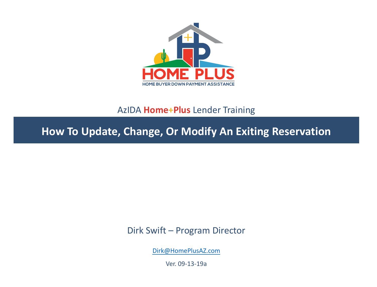

#### AzIDA **Home+Plus** Lender Training

**How To Update, Change, Or Modify An Exiting Reservation**

Dirk Swift – Program Director

[Dirk@HomePlusAZ.com](mailto:Dirk@HomePlusAZ.com)

Ver. 09-13-19a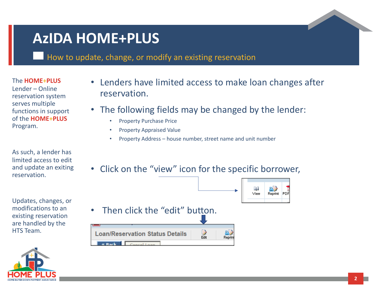# **AzIDA HOME+PLUS**

How to update, change, or modify an existing reservation

The **HOME+PLUS**  Lender – Online reservation system serves multiple functions in support of the **HOME+PLUS**  Program.

As such, a lender has limited access to edit and update an exiting reservation.

Updates, changes, or modifications to an existing reservation are handled by the HTS Team.



- Lenders have limited access to make loan changes after reservation.
- The following fields may be changed by the lender:
	- Property Purchase Price
	- Property Appraised Value
	- Property Address house number, street name and unit number
- Click on the "view" icon for the specific borrower,

賱

View

 $R$ eprint PDF

- Then click the "edit" button.
	- D<br>Edit **all**<br>Reprin **Loan/Reservation Status Details** « Rack Cancel Lean

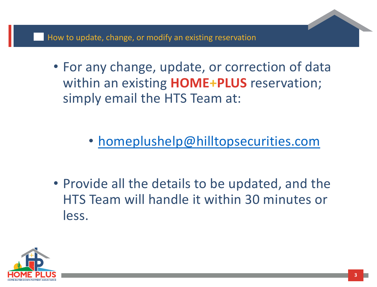- For any change, update, or correction of data within an existing **HOME+PLUS** reservation; simply email the HTS Team at:
	- [homeplushelp@hilltopsecurities.com](mailto:homeplushelp@hilltopsecurities.com)
- Provide all the details to be updated, and the HTS Team will handle it within 30 minutes or less.

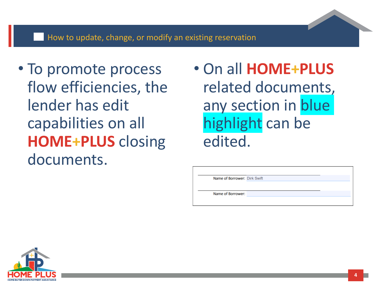#### How to update, change, or modify an existing reservation

- To promote process flow efficiencies, the lender has edit capabilities on all **HOME+PLUS** closing documents.
- On all **HOME+PLUS**  related documents, any section in blue highlight can be edited.

Name of Borrower: Dirk Swift

Name of Borrower:

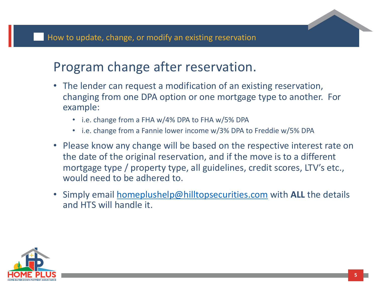### Program change after reservation.

- The lender can request a modification of an existing reservation, changing from one DPA option or one mortgage type to another. For example:
	- i.e. change from a FHA w/4% DPA to FHA w/5% DPA
	- i.e. change from a Fannie lower income w/3% DPA to Freddie w/5% DPA
- Please know any change will be based on the respective interest rate on the date of the original reservation, and if the move is to a different mortgage type / property type, all guidelines, credit scores, LTV's etc., would need to be adhered to.
- Simply email [homeplushelp@hilltopsecurities.com](mailto:homeplushelp@hilltopsecurities.com) with **ALL** the details and HTS will handle it.